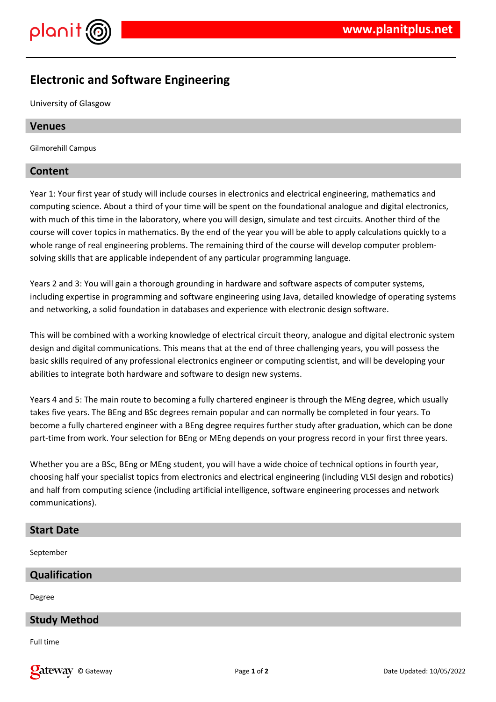

# **Electronic and Software Engineering**

University of Glasgow

# **Venues**

Gilmorehill Campus

# **Content**

Year 1: Your first year of study will include courses in electronics and electrical engineering, mathematics and computing science. About a third of your time will be spent on the foundational analogue and digital electronics, with much of this time in the laboratory, where you will design, simulate and test circuits. Another third of the course will cover topics in mathematics. By the end of the year you will be able to apply calculations quickly to a whole range of real engineering problems. The remaining third of the course will develop computer problemsolving skills that are applicable independent of any particular programming language.

Years 2 and 3: You will gain a thorough grounding in hardware and software aspects of computer systems, including expertise in programming and software engineering using Java, detailed knowledge of operating systems and networking, a solid foundation in databases and experience with electronic design software.

This will be combined with a working knowledge of electrical circuit theory, analogue and digital electronic system design and digital communications. This means that at the end of three challenging years, you will possess the basic skills required of any professional electronics engineer or computing scientist, and will be developing your abilities to integrate both hardware and software to design new systems.

Years 4 and 5: The main route to becoming a fully chartered engineer is through the MEng degree, which usually takes five years. The BEng and BSc degrees remain popular and can normally be completed in four years. To become a fully chartered engineer with a BEng degree requires further study after graduation, which can be done part-time from work. Your selection for BEng or MEng depends on your progress record in your first three years.

Whether you are a BSc, BEng or MEng student, you will have a wide choice of technical options in fourth year, choosing half your specialist topics from electronics and electrical engineering (including VLSI design and robotics) and half from computing science (including artificial intelligence, software engineering processes and network communications).

#### **Start Date**

September

# **Qualification**

Degree

# **Study Method**

Full time